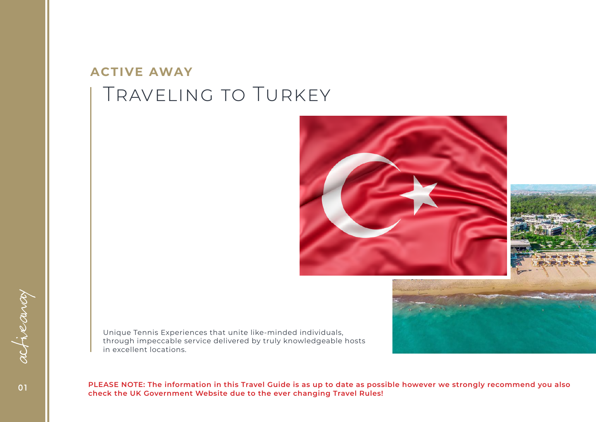#### Traveling to Turkey **ACTIVE AWAY**



Unique Tennis Experiences that unite like-minded individuals, through impeccable service delivered by truly knowledgeable hosts in excellent locations.

**PLEASE NOTE: The information in this Travel Guide is as up to date as possible however we strongly recommend you also check the UK Government Website due to the ever changing Travel Rules!**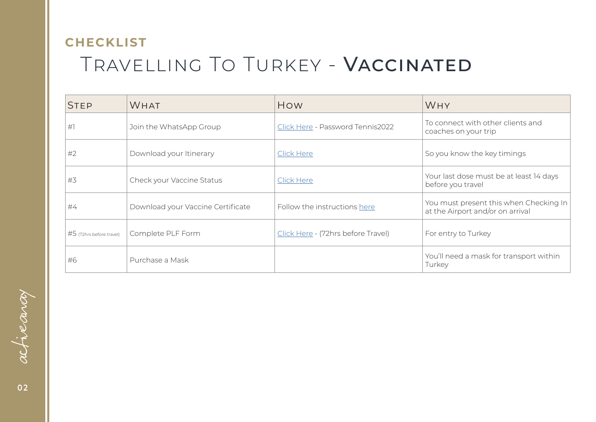# Travelling To Turkey - Vaccinated **CHECKLIST**

| <b>STEP</b>              | <b>WHAT</b>                       | How                                | <b>WHY</b>                                                                 |
|--------------------------|-----------------------------------|------------------------------------|----------------------------------------------------------------------------|
| #                        | Join the WhatsApp Group           | Click Here - Password Tennis2022   | To connect with other clients and<br>coaches on your trip                  |
| #2                       | Download your Itinerary           | Click Here                         | So you know the key timings                                                |
| #3                       | Check your Vaccine Status         | Click Here                         | Your last dose must be at least 14 days<br>before you travel               |
| #4                       | Download your Vaccine Certificate | Follow the instructions here       | You must present this when Checking In<br>at the Airport and/or on arrival |
| #5 (72hrs before travel) | Complete PLF Form                 | Click Here - (72hrs before Travel) | For entry to Turkey                                                        |
| #6                       | Purchase a Mask                   |                                    | You'll need a mask for transport within<br>Turkey                          |

activancy **0 2**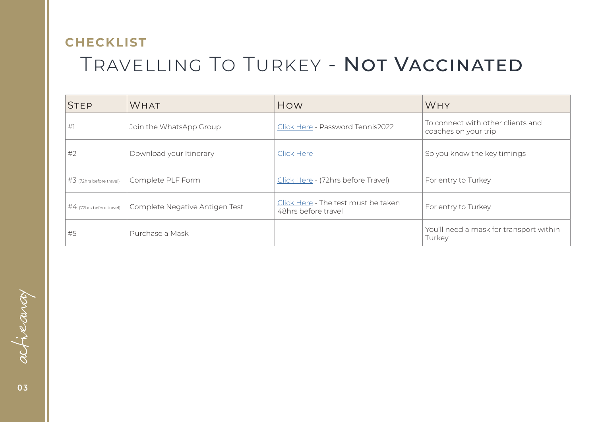# Travelling To Turkey - Not Vaccinated **CHECKLIST**

| <b>STEP</b>                  | <b>WHAT</b>                    | How                                                        | <b>WHY</b>                                                |
|------------------------------|--------------------------------|------------------------------------------------------------|-----------------------------------------------------------|
| #1                           | Join the WhatsApp Group        | Click Here - Password Tennis2022                           | To connect with other clients and<br>coaches on your trip |
| #2                           | Download your Itinerary        | Click Here                                                 | So you know the key timings                               |
| $\#$ 3 (72hrs before travel) | Complete PLF Form              | Click Here - (72hrs before Travel)                         | For entry to Turkey                                       |
| #4 (72hrs before travel)     | Complete Negative Antigen Test | Click Here - The test must be taken<br>48hrs before travel | For entry to Turkey                                       |
| #5                           | Purchase a Mask                |                                                            | You'll need a mask for transport within<br>Turkey         |

activancy **0 3**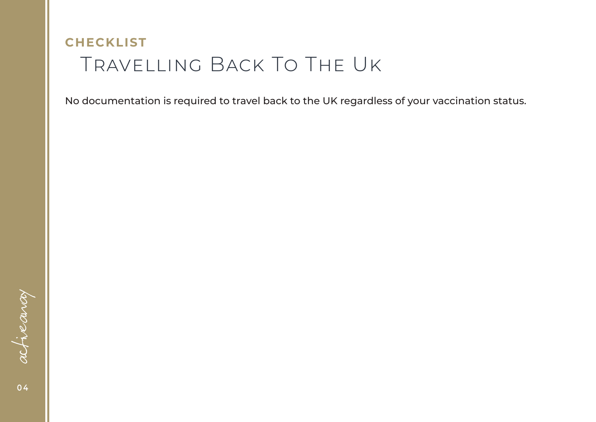## Travelling Back To The Uk **CHECKLIST**

No documentation is required to travel back to the UK regardless of your vaccination status.

activancy **0 4**